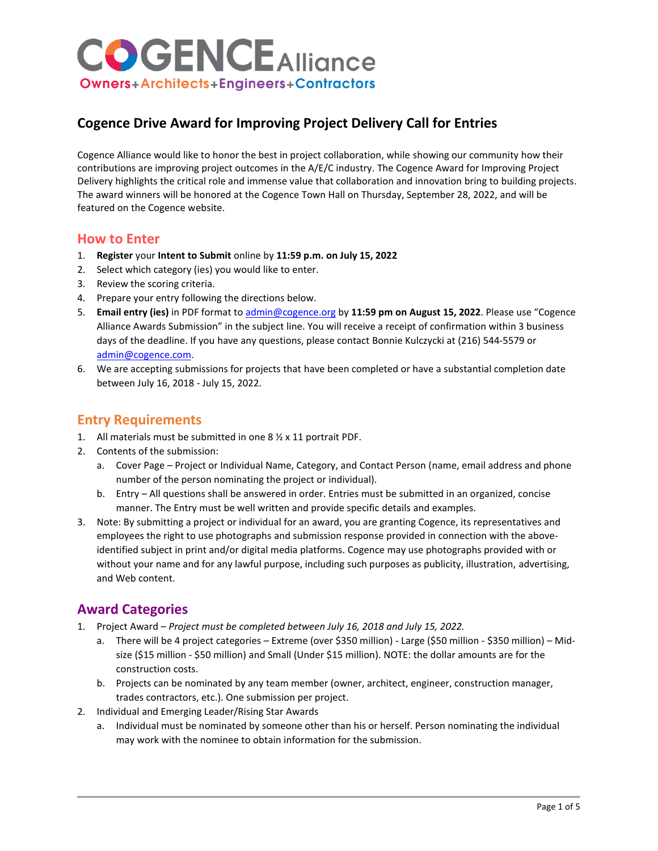# **Cogence Drive Award for Improving Project Delivery Call for Entries**

Cogence Alliance would like to honor the best in project collaboration, while showing our community how their contributions are improving project outcomes in the A/E/C industry. The Cogence Award for Improving Project Delivery highlights the critical role and immense value that collaboration and innovation bring to building projects. The award winners will be honored at the Cogence Town Hall on Thursday, September 28, 2022, and will be featured on the Cogence website.

## **How to Enter**

- 1. **Register** your **Intent to Submit** online by **11:59 p.m. on July 15, 2022**
- 2. Select which category (ies) you would like to enter.
- 3. Review the scoring criteria.
- 4. Prepare your entry following the directions below.
- 5. **Email entry (ies)** in PDF format t[o admin@cogence.org](mailto:admin@cogence.org) by **11:59 pm on August 15, 2022**. Please use "Cogence Alliance Awards Submission" in the subject line. You will receive a receipt of confirmation within 3 business days of the deadline. If you have any questions, please contact Bonnie Kulczycki at (216) 544-5579 or [admin@cogence.com.](mailto:admin@cogence.com)
- 6. We are accepting submissions for projects that have been completed or have a substantial completion date between July 16, 2018 - July 15, 2022.

## **Entry Requirements**

- 1. All materials must be submitted in one 8 ½ x 11 portrait PDF.
- 2. Contents of the submission:
	- a. Cover Page Project or Individual Name, Category, and Contact Person (name, email address and phone number of the person nominating the project or individual).
	- b. Entry All questions shall be answered in order. Entries must be submitted in an organized, concise manner. The Entry must be well written and provide specific details and examples.
- 3. Note: By submitting a project or individual for an award, you are granting Cogence, its representatives and employees the right to use photographs and submission response provided in connection with the aboveidentified subject in print and/or digital media platforms. Cogence may use photographs provided with or without your name and for any lawful purpose, including such purposes as publicity, illustration, advertising, and Web content.

# **Award Categories**

- 1. Project Award *Project must be completed between July 16, 2018 and July 15, 2022.*
	- a. There will be 4 project categories Extreme (over \$350 million) Large (\$50 million \$350 million) Midsize (\$15 million - \$50 million) and Small (Under \$15 million). NOTE: the dollar amounts are for the construction costs.
	- b. Projects can be nominated by any team member (owner, architect, engineer, construction manager, trades contractors, etc.). One submission per project.
- 2. Individual and Emerging Leader/Rising Star Awards
	- a. Individual must be nominated by someone other than his or herself. Person nominating the individual may work with the nominee to obtain information for the submission.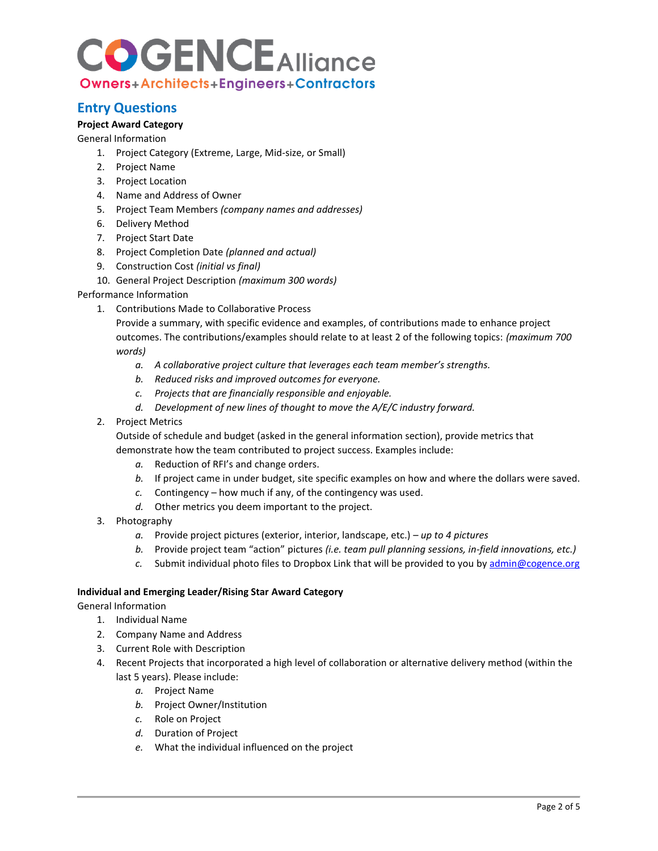## **Entry Questions**

### **Project Award Category**

General Information

- 1. Project Category (Extreme, Large, Mid-size, or Small)
- 2. Project Name
- 3. Project Location
- 4. Name and Address of Owner
- 5. Project Team Members *(company names and addresses)*
- 6. Delivery Method
- 7. Project Start Date
- 8. Project Completion Date *(planned and actual)*
- 9. Construction Cost *(initial vs final)*
- 10. General Project Description *(maximum 300 words)*

### Performance Information

1. Contributions Made to Collaborative Process

Provide a summary, with specific evidence and examples, of contributions made to enhance project outcomes. The contributions/examples should relate to at least 2 of the following topics: *(maximum 700 words)*

- *a. A collaborative project culture that leverages each team member's strengths.*
- *b. Reduced risks and improved outcomes for everyone.*
- *c. Projects that are financially responsible and enjoyable.*
- *d. Development of new lines of thought to move the A/E/C industry forward.*
- 2. Project Metrics

Outside of schedule and budget (asked in the general information section), provide metrics that demonstrate how the team contributed to project success. Examples include:

- *a.* Reduction of RFI's and change orders.
- *b.* If project came in under budget, site specific examples on how and where the dollars were saved.
- *c.* Contingency how much if any, of the contingency was used.
- *d.* Other metrics you deem important to the project.
- 3. Photography
	- *a.* Provide project pictures (exterior, interior, landscape, etc.) *up to 4 pictures*
	- *b.* Provide project team "action" pictures *(i.e. team pull planning sessions, in-field innovations, etc.)*
	- *c.* Submit individual photo files to Dropbox Link that will be provided to you b[y admin@cogence.org](mailto:admin@cogence.org)

### **Individual and Emerging Leader/Rising Star Award Category**

General Information

- 1. Individual Name
- 2. Company Name and Address
- 3. Current Role with Description
- 4. Recent Projects that incorporated a high level of collaboration or alternative delivery method (within the last 5 years). Please include:
	- *a.* Project Name
	- *b.* Project Owner/Institution
	- *c.* Role on Project
	- *d.* Duration of Project
	- *e.* What the individual influenced on the project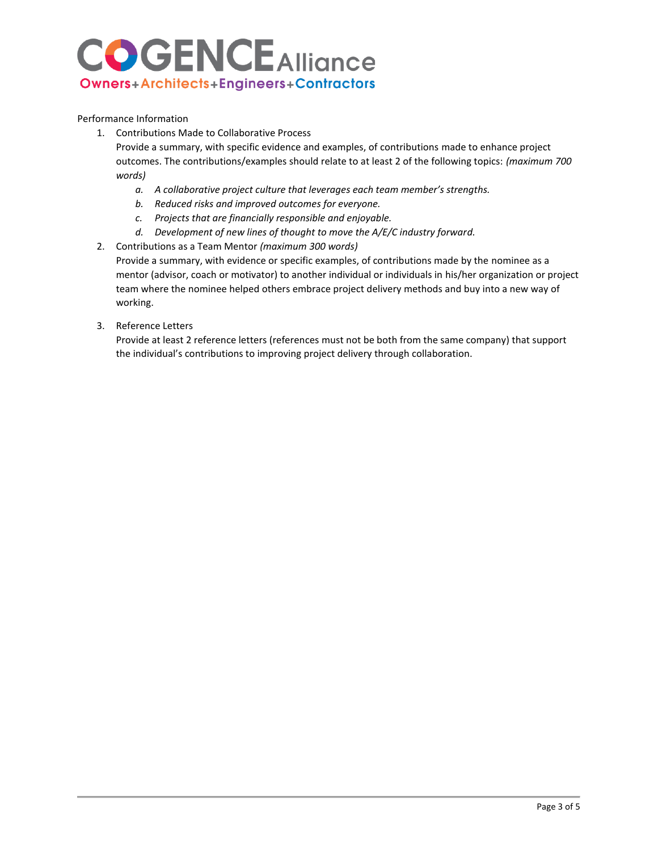Performance Information

1. Contributions Made to Collaborative Process

Provide a summary, with specific evidence and examples, of contributions made to enhance project outcomes. The contributions/examples should relate to at least 2 of the following topics: *(maximum 700 words)*

- *a. A collaborative project culture that leverages each team member's strengths.*
- *b. Reduced risks and improved outcomes for everyone.*
- *c. Projects that are financially responsible and enjoyable.*
- *d. Development of new lines of thought to move the A/E/C industry forward.*
- 2. Contributions as a Team Mentor *(maximum 300 words)*

Provide a summary, with evidence or specific examples, of contributions made by the nominee as a mentor (advisor, coach or motivator) to another individual or individuals in his/her organization or project team where the nominee helped others embrace project delivery methods and buy into a new way of working.

3. Reference Letters

Provide at least 2 reference letters (references must not be both from the same company) that support the individual's contributions to improving project delivery through collaboration.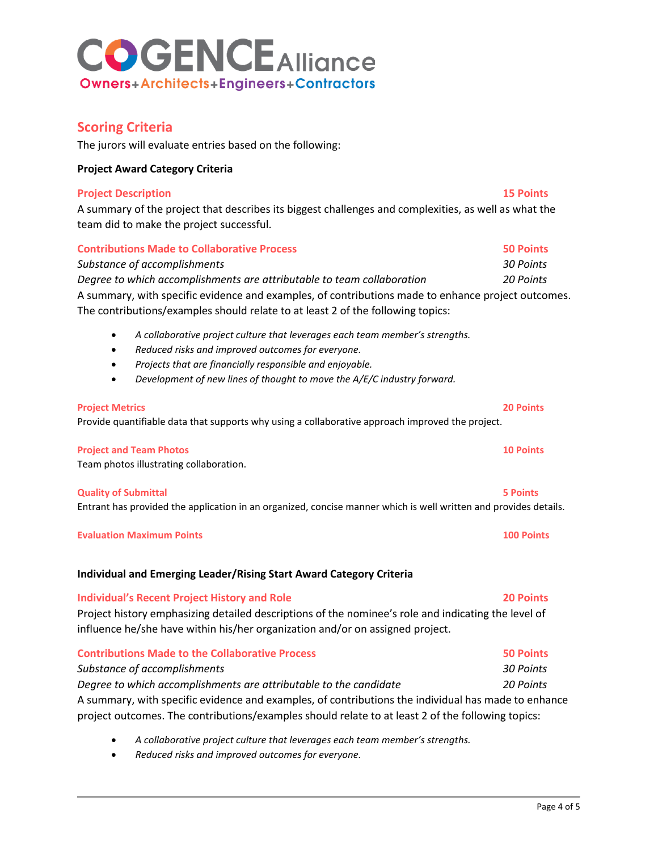## **Scoring Criteria**

The jurors will evaluate entries based on the following:

### **Project Award Category Criteria**

### **Project Description 15 Points**

A summary of the project that describes its biggest challenges and complexities, as well as what the team did to make the project successful.

| <b>Contributions Made to Collaborative Process</b>                                                 | <b>50 Points</b> |
|----------------------------------------------------------------------------------------------------|------------------|
| Substance of accomplishments                                                                       | 30 Points        |
| Degree to which accomplishments are attributable to team collaboration                             | 20 Points        |
| A summary, with specific evidence and examples, of contributions made to enhance project outcomes. |                  |
| The contributions/examples should relate to at least 2 of the following topics:                    |                  |

- *A collaborative project culture that leverages each team member's strengths.*
- *Reduced risks and improved outcomes for everyone.*
- *Projects that are financially responsible and enjoyable.*
- *Development of new lines of thought to move the A/E/C industry forward.*

### **Project Metrics 20 Points**

Provide quantifiable data that supports why using a collaborative approach improved the project.

### **Project and Team Photos 10 Points**

Team photos illustrating collaboration.

### **Quality of Submittal 5 Points**

Entrant has provided the application in an organized, concise manner which is well written and provides details.

### **Evaluation Maximum Points 100 Points**

### **Individual and Emerging Leader/Rising Start Award Category Criteria**

### **Individual's Recent Project History and Role 20 Points** Project history emphasizing detailed descriptions of the nominee's role and indicating the level of influence he/she have within his/her organization and/or on assigned project.

## **Contributions Made to the Collaborative Process 50 Points** *Substance of accomplishments 30 Points Degree to which accomplishments are attributable to the candidate 20 Points*

A summary, with specific evidence and examples, of contributions the individual has made to enhance project outcomes. The contributions/examples should relate to at least 2 of the following topics:

- *A collaborative project culture that leverages each team member's strengths.*
- *Reduced risks and improved outcomes for everyone.*